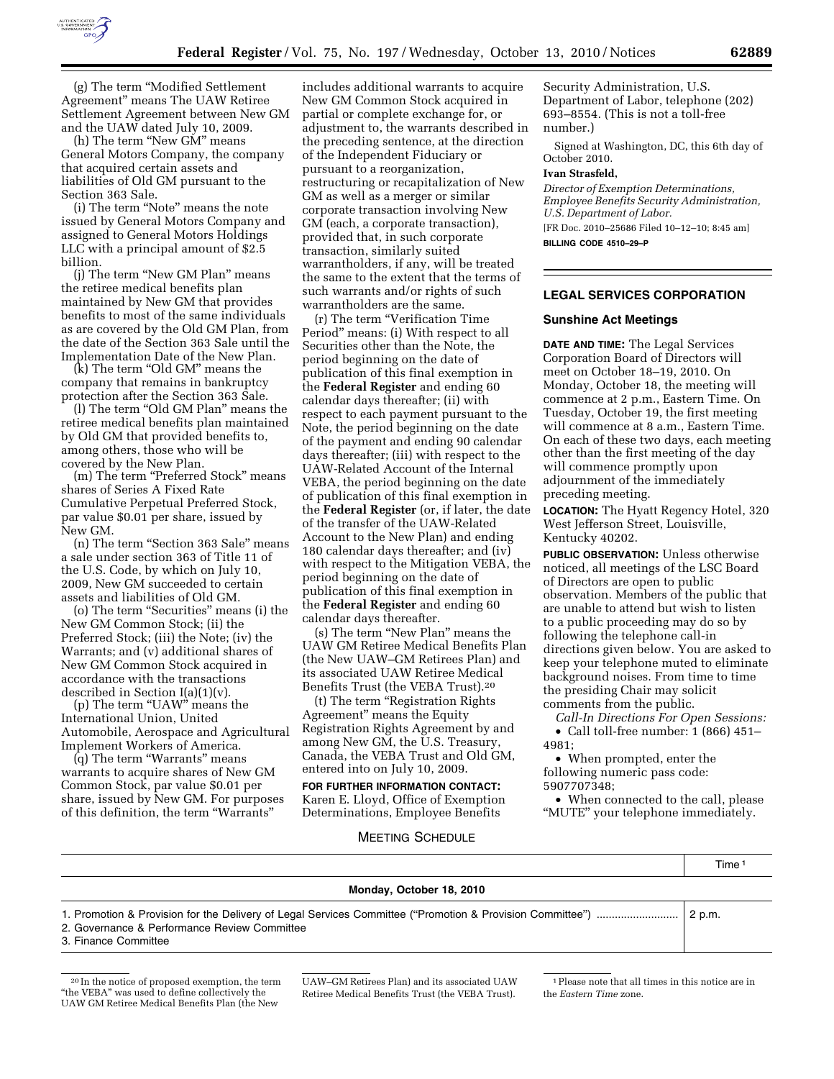

(h) The term "New GM" means General Motors Company, the company that acquired certain assets and liabilities of Old GM pursuant to the Section 363 Sale.

(i) The term ''Note'' means the note issued by General Motors Company and assigned to General Motors Holdings LLC with a principal amount of \$2.5 billion.

(j) The term ''New GM Plan'' means the retiree medical benefits plan maintained by New GM that provides benefits to most of the same individuals as are covered by the Old GM Plan, from the date of the Section 363 Sale until the Implementation Date of the New Plan.

(k) The term ''Old GM'' means the company that remains in bankruptcy protection after the Section 363 Sale.

(l) The term "Old GM Plan" means the retiree medical benefits plan maintained by Old GM that provided benefits to, among others, those who will be covered by the New Plan.

(m) The term "Preferred Stock" means shares of Series A Fixed Rate Cumulative Perpetual Preferred Stock, par value \$0.01 per share, issued by New GM.

(n) The term ''Section 363 Sale'' means a sale under section 363 of Title 11 of the U.S. Code, by which on July 10, 2009, New GM succeeded to certain assets and liabilities of Old GM.

(o) The term ''Securities'' means (i) the New GM Common Stock; (ii) the Preferred Stock; (iii) the Note; (iv) the Warrants; and (v) additional shares of New GM Common Stock acquired in accordance with the transactions described in Section I(a)(1)(v).

(p) The term "UAW" means the International Union, United Automobile, Aerospace and Agricultural Implement Workers of America.

(q) The term ''Warrants'' means warrants to acquire shares of New GM Common Stock, par value \$0.01 per share, issued by New GM. For purposes of this definition, the term ''Warrants''

includes additional warrants to acquire New GM Common Stock acquired in partial or complete exchange for, or adjustment to, the warrants described in the preceding sentence, at the direction of the Independent Fiduciary or pursuant to a reorganization, restructuring or recapitalization of New GM as well as a merger or similar corporate transaction involving New GM (each, a corporate transaction), provided that, in such corporate transaction, similarly suited warrantholders, if any, will be treated the same to the extent that the terms of such warrants and/or rights of such warrantholders are the same.

(r) The term ''Verification Time Period'' means: (i) With respect to all Securities other than the Note, the period beginning on the date of publication of this final exemption in the **Federal Register** and ending 60 calendar days thereafter; (ii) with respect to each payment pursuant to the Note, the period beginning on the date of the payment and ending 90 calendar days thereafter; (iii) with respect to the UAW-Related Account of the Internal VEBA, the period beginning on the date of publication of this final exemption in the **Federal Register** (or, if later, the date of the transfer of the UAW-Related Account to the New Plan) and ending 180 calendar days thereafter; and (iv) with respect to the Mitigation VEBA, the period beginning on the date of publication of this final exemption in the **Federal Register** and ending 60 calendar days thereafter.

(s) The term "New Plan" means the UAW GM Retiree Medical Benefits Plan (the New UAW–GM Retirees Plan) and its associated UAW Retiree Medical Benefits Trust (the VEBA Trust).20

(t) The term ''Registration Rights Agreement'' means the Equity Registration Rights Agreement by and among New GM, the U.S. Treasury, Canada, the VEBA Trust and Old GM, entered into on July 10, 2009.

**FOR FURTHER INFORMATION CONTACT:**  Karen E. Lloyd, Office of Exemption Determinations, Employee Benefits

Security Administration, U.S. Department of Labor, telephone (202) 693–8554. (This is not a toll-free number.)

Signed at Washington, DC, this 6th day of October 2010.

### **Ivan Strasfeld,**

*Director of Exemption Determinations, Employee Benefits Security Administration, U.S. Department of Labor.* 

[FR Doc. 2010–25686 Filed 10–12–10; 8:45 am] **BILLING CODE 4510–29–P** 

## **LEGAL SERVICES CORPORATION**

## **Sunshine Act Meetings**

**DATE AND TIME:** The Legal Services Corporation Board of Directors will meet on October 18–19, 2010. On Monday, October 18, the meeting will commence at 2 p.m., Eastern Time. On Tuesday, October 19, the first meeting will commence at 8 a.m., Eastern Time. On each of these two days, each meeting other than the first meeting of the day will commence promptly upon adjournment of the immediately preceding meeting.

**LOCATION:** The Hyatt Regency Hotel, 320 West Jefferson Street, Louisville, Kentucky 40202.

**PUBLIC OBSERVATION:** Unless otherwise noticed, all meetings of the LSC Board of Directors are open to public observation. Members of the public that are unable to attend but wish to listen to a public proceeding may do so by following the telephone call-in directions given below. You are asked to keep your telephone muted to eliminate background noises. From time to time the presiding Chair may solicit comments from the public.

*Call-In Directions For Open Sessions:*  • Call toll-free number: 1 (866) 451– 4981;

• When prompted, enter the following numeric pass code: 5907707348;

• When connected to the call, please ''MUTE'' your telephone immediately.

Time 1

## MEETING SCHEDULE

#### **Monday, October 18, 2010**

1. Promotion & Provision for the Delivery of Legal Services Committee (''Promotion & Provision Committee'') ........................... 2 p.m.

2. Governance & Performance Review Committee

3. Finance Committee

UAW–GM Retirees Plan) and its associated UAW Retiree Medical Benefits Trust (the VEBA Trust).

1Please note that all times in this notice are in the *Eastern Time* zone.

<sup>20</sup> In the notice of proposed exemption, the term ''the VEBA'' was used to define collectively the UAW GM Retiree Medical Benefits Plan (the New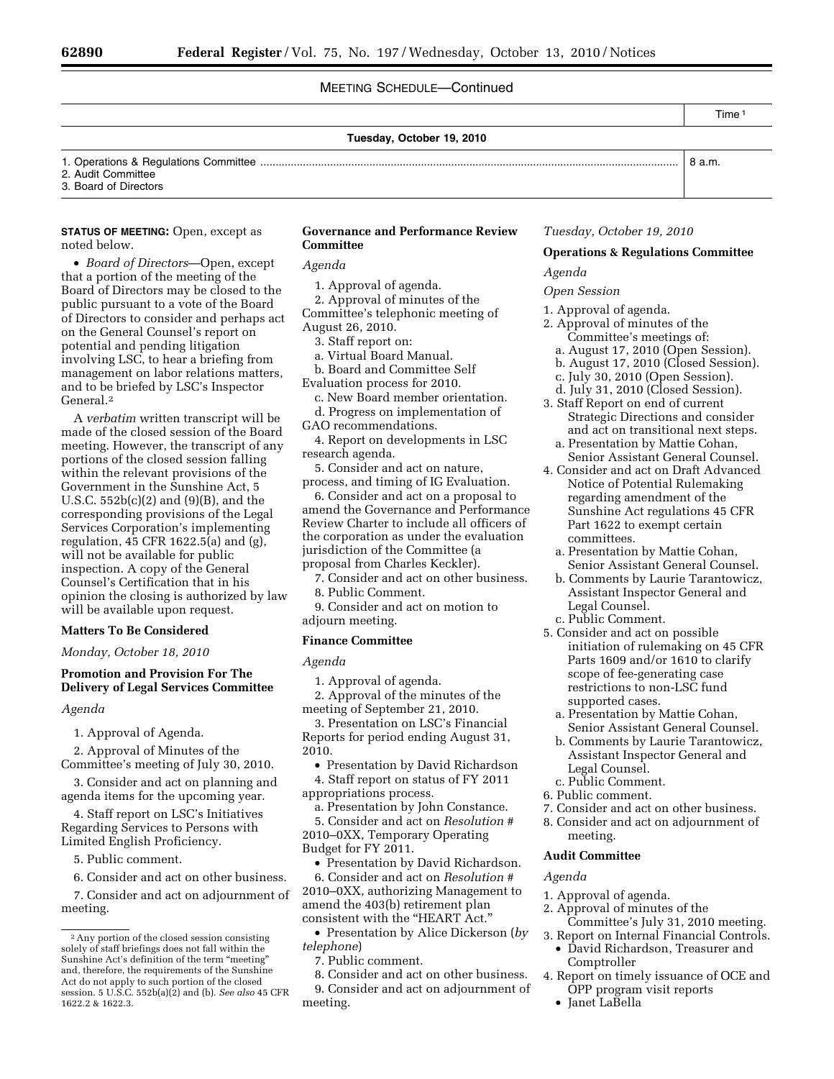# MEETING SCHEDULE—Continued

### **Tuesday, October 19, 2010**

Time 1

# 1. Operations & Regulations Committee .......................................................................................................................................... 8 a.m. 2. Audit Committee

3. Board of Directors

### **STATUS OF MEETING:** Open, except as noted below.

• *Board of Directors*—Open, except that a portion of the meeting of the Board of Directors may be closed to the public pursuant to a vote of the Board of Directors to consider and perhaps act on the General Counsel's report on potential and pending litigation involving LSC, to hear a briefing from management on labor relations matters, and to be briefed by LSC's Inspector General.2

A *verbatim* written transcript will be made of the closed session of the Board meeting. However, the transcript of any portions of the closed session falling within the relevant provisions of the Government in the Sunshine Act, 5 U.S.C.  $552b(c)(2)$  and  $(9)(B)$ , and the corresponding provisions of the Legal Services Corporation's implementing regulation, 45 CFR 1622.5(a) and (g), will not be available for public inspection. A copy of the General Counsel's Certification that in his opinion the closing is authorized by law will be available upon request.

### **Matters To Be Considered**

*Monday, October 18, 2010* 

## **Promotion and Provision For The Delivery of Legal Services Committee**

*Agenda* 

1. Approval of Agenda.

2. Approval of Minutes of the Committee's meeting of July 30, 2010.

3. Consider and act on planning and agenda items for the upcoming year.

4. Staff report on LSC's Initiatives Regarding Services to Persons with Limited English Proficiency.

5. Public comment.

6. Consider and act on other business.

7. Consider and act on adjournment of meeting.

# **Governance and Performance Review Committee**

*Agenda* 

1. Approval of agenda.

2. Approval of minutes of the Committee's telephonic meeting of August 26, 2010.

- 3. Staff report on:
- a. Virtual Board Manual.

b. Board and Committee Self Evaluation process for 2010.

c. New Board member orientation.

- d. Progress on implementation of GAO recommendations.
- 4. Report on developments in LSC research agenda.

5. Consider and act on nature, process, and timing of IG Evaluation.

6. Consider and act on a proposal to amend the Governance and Performance Review Charter to include all officers of the corporation as under the evaluation jurisdiction of the Committee (a proposal from Charles Keckler).

7. Consider and act on other business. 8. Public Comment.

9. Consider and act on motion to adjourn meeting.

### **Finance Committee**

### *Agenda*

1. Approval of agenda.

2. Approval of the minutes of the meeting of September 21, 2010.

3. Presentation on LSC's Financial Reports for period ending August 31, 2010.

• Presentation by David Richardson

4. Staff report on status of FY 2011 appropriations process.

a. Presentation by John Constance. 5. Consider and act on *Resolution* #

2010–0XX, Temporary Operating Budget for FY 2011.

• Presentation by David Richardson.

6. Consider and act on *Resolution* # 2010–0XX, authorizing Management to amend the 403(b) retirement plan consistent with the ''HEART Act.''

• Presentation by Alice Dickerson (*by telephone*)

7. Public comment.

8. Consider and act on other business. 9. Consider and act on adjournment of meeting.

### *Tuesday, October 19, 2010*

### **Operations & Regulations Committee**

*Agenda* 

#### *Open Session*

- 1. Approval of agenda.
- 2. Approval of minutes of the Committee's meetings of:
	- a. August 17, 2010 (Open Session).
	- b. August 17, 2010 (Closed Session).
	- c. July 30, 2010 (Open Session).
	- d. July 31, 2010 (Closed Session).
- 3. Staff Report on end of current Strategic Directions and consider and act on transitional next steps. a. Presentation by Mattie Cohan, Senior Assistant General Counsel.
- 4. Consider and act on Draft Advanced Notice of Potential Rulemaking regarding amendment of the Sunshine Act regulations 45 CFR Part 1622 to exempt certain committees.
	- a. Presentation by Mattie Cohan, Senior Assistant General Counsel.
	- b. Comments by Laurie Tarantowicz, Assistant Inspector General and Legal Counsel.
	- c. Public Comment.
- 5. Consider and act on possible initiation of rulemaking on 45 CFR Parts 1609 and/or 1610 to clarify scope of fee-generating case restrictions to non-LSC fund supported cases.
	- a. Presentation by Mattie Cohan, Senior Assistant General Counsel.
	- b. Comments by Laurie Tarantowicz, Assistant Inspector General and Legal Counsel.
- c. Public Comment.
- 6. Public comment.
- 7. Consider and act on other business.
- 8. Consider and act on adjournment of meeting.

#### **Audit Committee**

### *Agenda*

- 1. Approval of agenda.
- 2. Approval of minutes of the Committee's July 31, 2010 meeting.
- 3. Report on Internal Financial Controls. • David Richardson, Treasurer and Comptroller
- 4. Report on timely issuance of OCE and OPP program visit reports
	- Janet LaBella

<sup>2</sup>Any portion of the closed session consisting solely of staff briefings does not fall within the Sunshine Act's definition of the term ''meeting'' and, therefore, the requirements of the Sunshine Act do not apply to such portion of the closed session. 5 U.S.C. 552b(a)(2) and (b). *See also* 45 CFR 1622.2 & 1622.3.